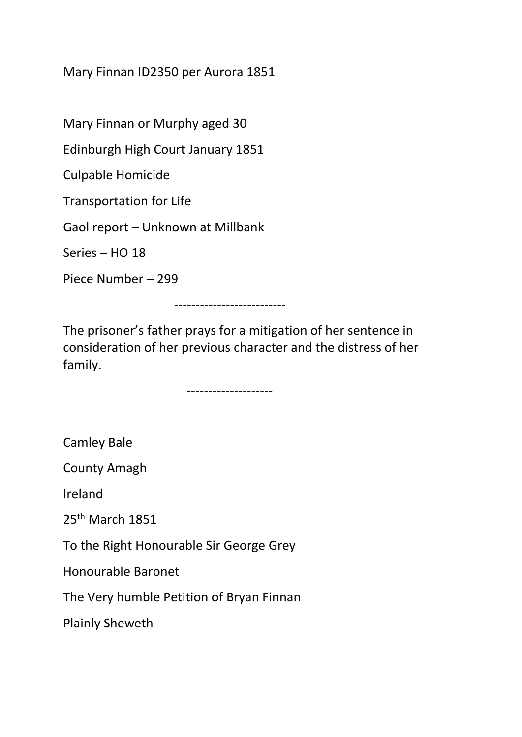Mary Finnan ID2350 per Aurora 1851

Mary Finnan or Murphy aged 30

Edinburgh High Court January 1851

Culpable Homicide

Transportation for Life

Gaol report – Unknown at Millbank

Series – HO 18

Piece Number – 299

--------------------------

The prisoner's father prays for a mitigation of her sentence in consideration of her previous character and the distress of her family.

--------------------

Camley Bale

County Amagh

Ireland

25th March 1851

To the Right Honourable Sir George Grey

Honourable Baronet

The Very humble Petition of Bryan Finnan

Plainly Sheweth